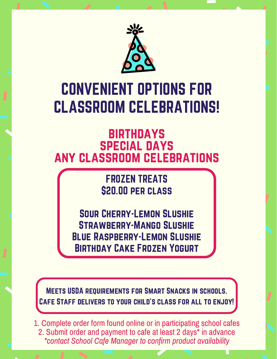

## CONVENIENT OPTIONS FOR CLASSROOM CELEBRATIONS!

## **BIRTHDAYS** special days any classroom celebrations

FROZEN TREATS \$20.00 per class

Sour Cherry-Lemon Slushie Strawberry-Mango Slushie Blue Raspberry-Lemon Slushie Birthday Cake Frozen Yogurt

Meets USDA requirements for Smart Snacks in schools. Cafe Staff delivers to your child's class for all to enjoy!

1. Complete order form found online or in participating school cafes 2. Submit order and payment to cafe at least 2 days\* in advance *\*contact School Cafe Manager to confirm product availability*